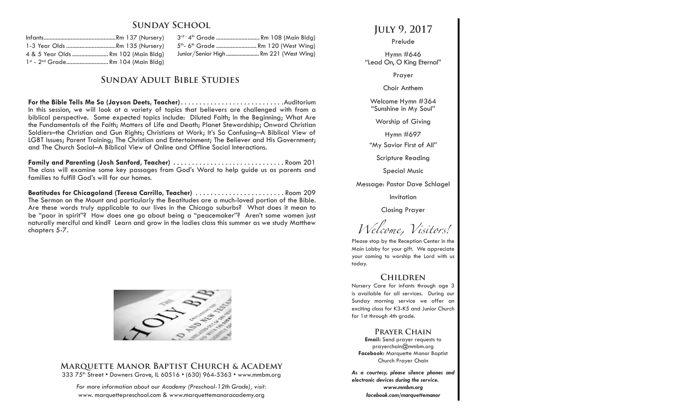## **Sunday School**

| 1-3 Year Olds Rm 135 (Nursery)                 |  |  |  |
|------------------------------------------------|--|--|--|
| 4 & 5 Year Olds  Rm 102 (Main Bldg)            |  |  |  |
| 1st - 2 <sup>nd</sup> Grade Rm 104 (Main Bldg) |  |  |  |

3<sup>rd -</sup> 4<sup>th</sup> Grade ............................... Rm 108 (Main Bldg) 5<sup>th</sup>- 6<sup>th</sup> Grade ............................. Rm 120 (West Wina) Junior/Senior High ........................ Rm 221 (West Wing)

## **Sunday Adult Bible Studies**

**For the Bible Tells Me So (Jayson Deets, Teacher)**. Auditorium In this session, we will look at a variety of topics that believers are challenged with from a biblical perspective. Some expected topics include: Diluted Faith; In the Beginning; What Are the Fundamentals of the Faith; Matters of Life and Death; Planet Stewardship; Onward Christian Soldiers–the Christian and Gun Rights; Christians at Work; It's So Confusing–A Biblical View of LGBT Issues; Parent Training; The Christian and Entertainment; The Believer and His Government; and The Church Social–A Biblical View of Online and Offline Social Interactions.

**Family and Parenting (Josh Sanford, Teacher)**. Room 201 The class will examine some key passages from God's Word to help guide us as parents and families to fulfill God's will for our homes.

Beatitudes for Chicagoland (Teresa Carrillo, Teacher) ............................ Room 209 The Sermon on the Mount and particularly the Beatitudes are a much-loved portion of the Bible. Are these words truly applicable to our lives in the Chicago suburbs? What does it mean to be "poor in spirit"? How does one go about being a "peacemaker"? Aren't some women just naturally merciful and kind? Learn and grow in the ladies class this summer as we study Matthew chapters 5-7.



### **Marquette Manor Baptist Church & Academy** 333 75th Street • Downers Grove, IL 60516 • (630) 964-5363 • www.mmbm.org

*For more information about our Academy (Preschool-12th Grade), visit:* www. marquettepreschool.com & www.marquettemanoracademy.org

**July 9, 2017**

Prelude

Hymn #646 "Lead On, O King Eternal"

Prayer

Choir Anthem

Welcome Hymn #364 "Sunshine in My Soul"

Worship of Giving

Hymn #697

"My Savior First of All"

Scripture Reading

Special Music

Message: Pastor Dave Schlagel

Invitation

Closing Prayer

*Welcome, Visitors!*

Please stop by the Reception Center in the Main Lobby for your gift. We appreciate your coming to worship the Lord with us today.

# **Children**

Nursery Care for infants through age 3 is available for all services. During our Sunday morning service we offer an exciting class for K3-K5 and Junior Church for 1st through 4th grade.

### **Prayer Chain**

**Email:** Send prayer requests to prayerchain@mmbm.org **Facebook:** Marquette Manor Baptist Church Prayer Chain

*As a courtesy, please silence phones and electronic devices during the service. www.mmbm.org facebook.com/marquettemanor*